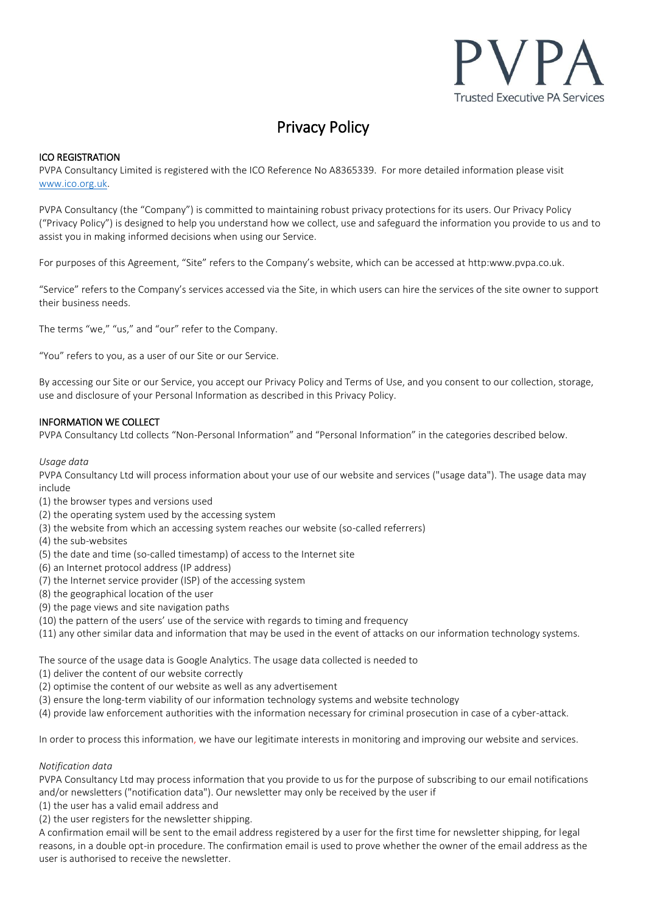

# Privacy Policy

## ICO REGISTRATION

PVPA Consultancy Limited is registered with the ICO Reference No A8365339. For more detailed information please visit [www.ico.org.uk.](http://www.ico.org.uk/)

PVPA Consultancy (the "Company") is committed to maintaining robust privacy protections for its users. Our Privacy Policy ("Privacy Policy") is designed to help you understand how we collect, use and safeguard the information you provide to us and to assist you in making informed decisions when using our Service.

For purposes of this Agreement, "Site" refers to the Company's website, which can be accessed at http:www.pvpa.co.uk.

"Service" refers to the Company's services accessed via the Site, in which users can hire the services of the site owner to support their business needs.

The terms "we," "us," and "our" refer to the Company.

"You" refers to you, as a user of our Site or our Service.

By accessing our Site or our Service, you accept our Privacy Policy and Terms of Use, and you consent to our collection, storage, use and disclosure of your Personal Information as described in this Privacy Policy.

## INFORMATION WE COLLECT

PVPA Consultancy Ltd collects "Non-Personal Information" and "Personal Information" in the categories described below.

#### *Usage data*

PVPA Consultancy Ltd will process information about your use of our website and services ("usage data"). The usage data may include

- (1) the browser types and versions used
- (2) the operating system used by the accessing system
- (3) the website from which an accessing system reaches our website (so-called referrers)
- (4) the sub-websites
- (5) the date and time (so-called timestamp) of access to the Internet site
- (6) an Internet protocol address (IP address)
- (7) the Internet service provider (ISP) of the accessing system
- (8) the geographical location of the user
- (9) the page views and site navigation paths
- (10) the pattern of the users' use of the service with regards to timing and frequency
- (11) any other similar data and information that may be used in the event of attacks on our information technology systems.

The source of the usage data is Google Analytics. The usage data collected is needed to

- (1) deliver the content of our website correctly
- (2) optimise the content of our website as well as any advertisement
- (3) ensure the long-term viability of our information technology systems and website technology

(4) provide law enforcement authorities with the information necessary for criminal prosecution in case of a cyber-attack.

In order to process this information, we have our legitimate interests in monitoring and improving our website and services.

#### *Notification data*

PVPA Consultancy Ltd may process information that you provide to us for the purpose of subscribing to our email notifications and/or newsletters ("notification data"). Our newsletter may only be received by the user if

- (1) the user has a valid email address and
- (2) the user registers for the newsletter shipping.

A confirmation email will be sent to the email address registered by a user for the first time for newsletter shipping, for legal reasons, in a double opt-in procedure. The confirmation email is used to prove whether the owner of the email address as the user is authorised to receive the newsletter.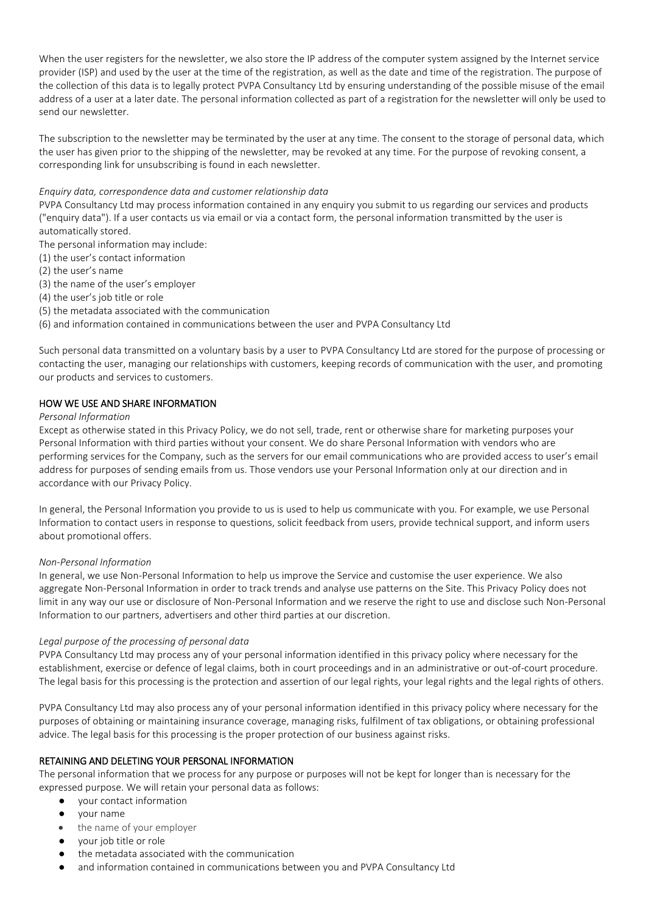When the user registers for the newsletter, we also store the IP address of the computer system assigned by the Internet service provider (ISP) and used by the user at the time of the registration, as well as the date and time of the registration. The purpose of the collection of this data is to legally protect PVPA Consultancy Ltd by ensuring understanding of the possible misuse of the email address of a user at a later date. The personal information collected as part of a registration for the newsletter will only be used to send our newsletter.

The subscription to the newsletter may be terminated by the user at any time. The consent to the storage of personal data, which the user has given prior to the shipping of the newsletter, may be revoked at any time. For the purpose of revoking consent, a corresponding link for unsubscribing is found in each newsletter.

#### *Enquiry data, correspondence data and customer relationship data*

PVPA Consultancy Ltd may process information contained in any enquiry you submit to us regarding our services and products ("enquiry data"). If a user contacts us via email or via a contact form, the personal information transmitted by the user is automatically stored.

The personal information may include:

- (1) the user's contact information
- (2) the user's name
- (3) the name of the user's employer
- (4) the user's job title or role
- (5) the metadata associated with the communication

(6) and information contained in communications between the user and PVPA Consultancy Ltd

Such personal data transmitted on a voluntary basis by a user to PVPA Consultancy Ltd are stored for the purpose of processing or contacting the user, managing our relationships with customers, keeping records of communication with the user, and promoting our products and services to customers.

## HOW WE USE AND SHARE INFORMATION

#### *Personal Information*

Except as otherwise stated in this Privacy Policy, we do not sell, trade, rent or otherwise share for marketing purposes your Personal Information with third parties without your consent. We do share Personal Information with vendors who are performing services for the Company, such as the servers for our email communications who are provided access to user's email address for purposes of sending emails from us. Those vendors use your Personal Information only at our direction and in accordance with our Privacy Policy.

In general, the Personal Information you provide to us is used to help us communicate with you. For example, we use Personal Information to contact users in response to questions, solicit feedback from users, provide technical support, and inform users about promotional offers.

#### *Non-Personal Information*

In general, we use Non-Personal Information to help us improve the Service and customise the user experience. We also aggregate Non-Personal Information in order to track trends and analyse use patterns on the Site. This Privacy Policy does not limit in any way our use or disclosure of Non-Personal Information and we reserve the right to use and disclose such Non-Personal Information to our partners, advertisers and other third parties at our discretion.

#### *Legal purpose of the processing of personal data*

PVPA Consultancy Ltd may process any of your personal information identified in this privacy policy where necessary for the establishment, exercise or defence of legal claims, both in court proceedings and in an administrative or out-of-court procedure. The legal basis for this processing is the protection and assertion of our legal rights, your legal rights and the legal rights of others.

PVPA Consultancy Ltd may also process any of your personal information identified in this privacy policy where necessary for the purposes of obtaining or maintaining insurance coverage, managing risks, fulfilment of tax obligations, or obtaining professional advice. The legal basis for this processing is the proper protection of our business against risks.

#### RETAINING AND DELETING YOUR PERSONAL INFORMATION

The personal information that we process for any purpose or purposes will not be kept for longer than is necessary for the expressed purpose. We will retain your personal data as follows:

- your contact information
- your name
- the name of your employer
- your job title or role
- the metadata associated with the communication
- and information contained in communications between you and PVPA Consultancy Ltd